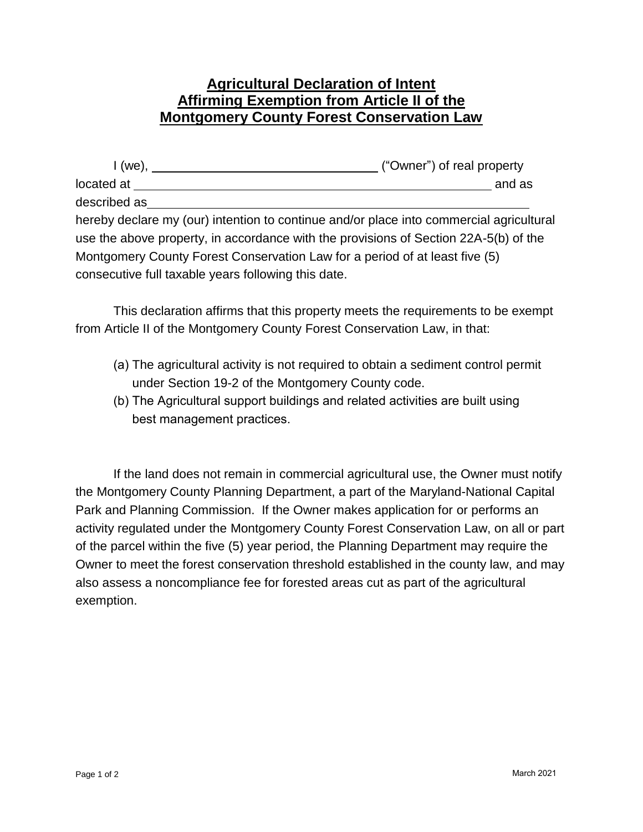## **Agricultural Declaration of Intent Affirming Exemption from Article II of the Montgomery County Forest Conservation Law**

| I (we),                                                                     | ("Owner") of real property                                                              |
|-----------------------------------------------------------------------------|-----------------------------------------------------------------------------------------|
| located at                                                                  | and as                                                                                  |
| described as                                                                |                                                                                         |
|                                                                             | hereby declare my (our) intention to continue and/or place into commercial agricultural |
|                                                                             | use the above property, in accordance with the provisions of Section 22A-5(b) of the    |
| Montgomery County Forest Conservation Law for a period of at least five (5) |                                                                                         |
| consecutive full taxable years following this date.                         |                                                                                         |

This declaration affirms that this property meets the requirements to be exempt from Article II of the Montgomery County Forest Conservation Law, in that:

- (a) The agricultural activity is not required to obtain a sediment control permit under Section 19-2 of the Montgomery County code.
- (b) The Agricultural support buildings and related activities are built using best management practices.

If the land does not remain in commercial agricultural use, the Owner must notify the Montgomery County Planning Department, a part of the Maryland-National Capital Park and Planning Commission. If the Owner makes application for or performs an activity regulated under the Montgomery County Forest Conservation Law, on all or part of the parcel within the five (5) year period, the Planning Department may require the Owner to meet the forest conservation threshold established in the county law, and may also assess a noncompliance fee for forested areas cut as part of the agricultural exemption.